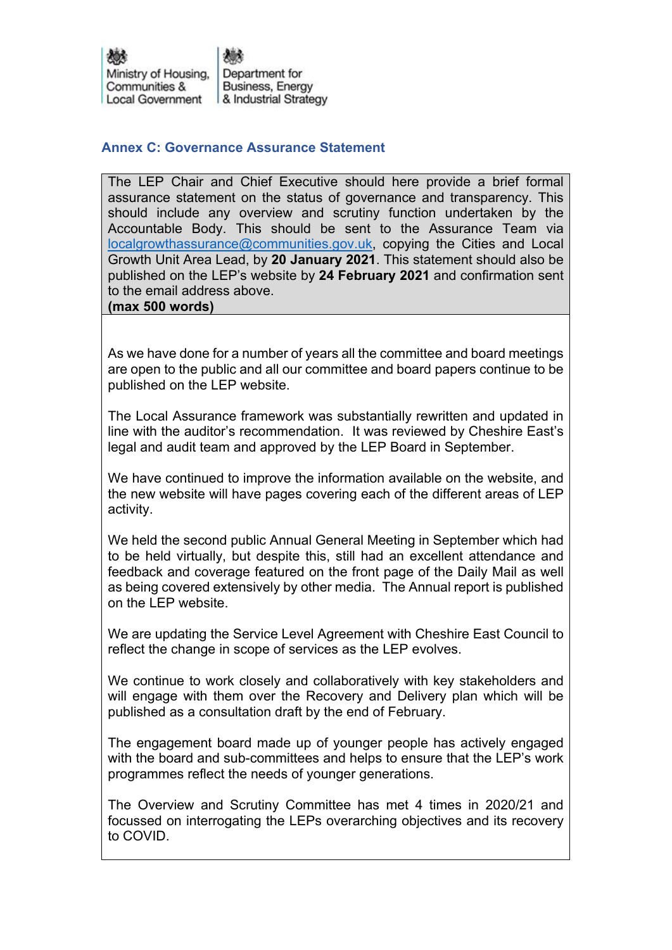## **Annex C: Governance Assurance Statement**

The LEP Chair and Chief Executive should here provide a brief formal assurance statement on the status of governance and transparency. This should include any overview and scrutiny function undertaken by the Accountable Body. This should be sent to the Assurance Team via localgrowthassurance@communities.gov.uk, copying the Cities and Local Growth Unit Area Lead, by **20 January 2021**. This statement should also be published on the LEP's website by **24 February 2021** and confirmation sent to the email address above.

**(max 500 words)**

As we have done for a number of years all the committee and board meetings are open to the public and all our committee and board papers continue to be published on the LEP website.

The Local Assurance framework was substantially rewritten and updated in line with the auditor's recommendation. It was reviewed by Cheshire East's legal and audit team and approved by the LEP Board in September.

We have continued to improve the information available on the website, and the new website will have pages covering each of the different areas of LEP activity.

We held the second public Annual General Meeting in September which had to be held virtually, but despite this, still had an excellent attendance and feedback and coverage featured on the front page of the Daily Mail as well as being covered extensively by other media. The Annual report is published on the LEP website.

We are updating the Service Level Agreement with Cheshire East Council to reflect the change in scope of services as the LEP evolves.

We continue to work closely and collaboratively with key stakeholders and will engage with them over the Recovery and Delivery plan which will be published as a consultation draft by the end of February.

The engagement board made up of younger people has actively engaged with the board and sub-committees and helps to ensure that the LEP's work programmes reflect the needs of younger generations.

The Overview and Scrutiny Committee has met 4 times in 2020/21 and focussed on interrogating the LEPs overarching objectives and its recovery to COVID.